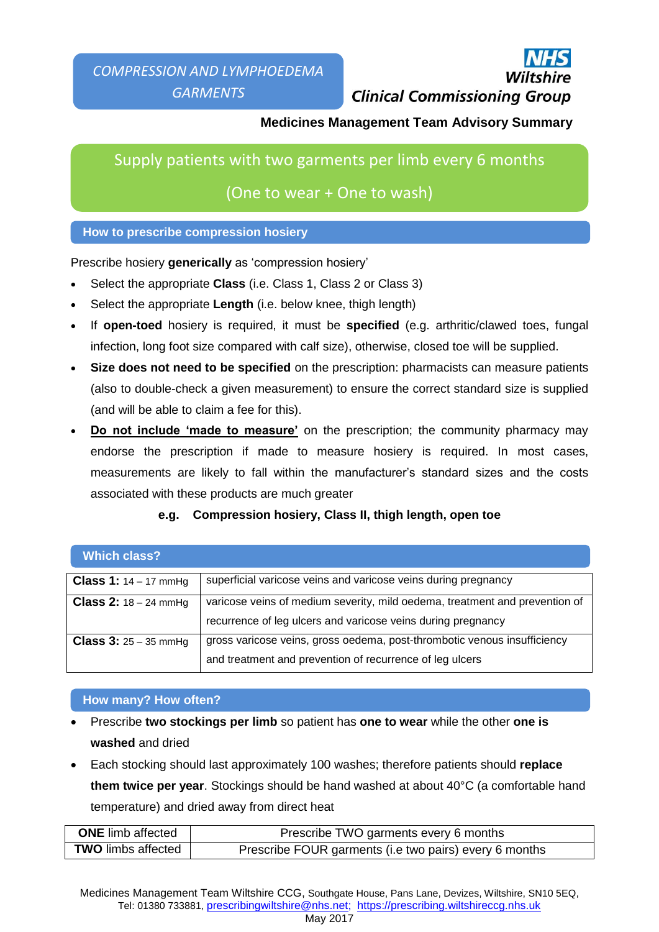# **Clinical Commissioning Group**

## **Medicines Management Team Advisory Summary**

Supply patients with two garments per limb every 6 months

## (One to wear + One to wash)

## **How to prescribe compression hosiery**

Prescribe hosiery **generically** as 'compression hosiery'

- Select the appropriate **Class** (i.e. Class 1, Class 2 or Class 3)
- Select the appropriate **Length** (i.e. below knee, thigh length)
- If **open-toed** hosiery is required, it must be **specified** (e.g. arthritic/clawed toes, fungal infection, long foot size compared with calf size), otherwise, closed toe will be supplied.
- **Size does not need to be specified** on the prescription: pharmacists can measure patients (also to double-check a given measurement) to ensure the correct standard size is supplied (and will be able to claim a fee for this).
- **Do not include 'made to measure'** on the prescription; the community pharmacy may endorse the prescription if made to measure hosiery is required. In most cases, measurements are likely to fall within the manufacturer's standard sizes and the costs associated with these products are much greater

## **e.g. Compression hosiery, Class II, thigh length, open toe**

| <b>Which class?</b>            |                                                                                                                                             |
|--------------------------------|---------------------------------------------------------------------------------------------------------------------------------------------|
| <b>Class 1:</b> $14 - 17$ mmHg | superficial varicose veins and varicose veins during pregnancy                                                                              |
| <b>Class 2:</b> $18 - 24$ mmHg | varicose veins of medium severity, mild oedema, treatment and prevention of<br>recurrence of leg ulcers and varicose veins during pregnancy |
| <b>Class 3:</b> $25 - 35$ mmHg | gross varicose veins, gross oedema, post-thrombotic venous insufficiency<br>and treatment and prevention of recurrence of leg ulcers        |

### **How many? How often?**

- Prescribe **two stockings per limb** so patient has **one to wear** while the other **one is washed** and dried
- Each stocking should last approximately 100 washes; therefore patients should **replace them twice per year**. Stockings should be hand washed at about 40°C (a comfortable hand temperature) and dried away from direct heat

| <b>ONE</b> limb affected  | Prescribe TWO garments every 6 months                  |
|---------------------------|--------------------------------------------------------|
| <b>TWO</b> limbs affected | Prescribe FOUR garments (i.e two pairs) every 6 months |

Medicines Management Team Wiltshire CCG, Southgate House, Pans Lane, Devizes, Wiltshire, SN10 5EQ, Tel: 01380 733881, prescribingwiltshire@nhs.net; https://prescribing.wiltshireccg.nhs.uk May 2017